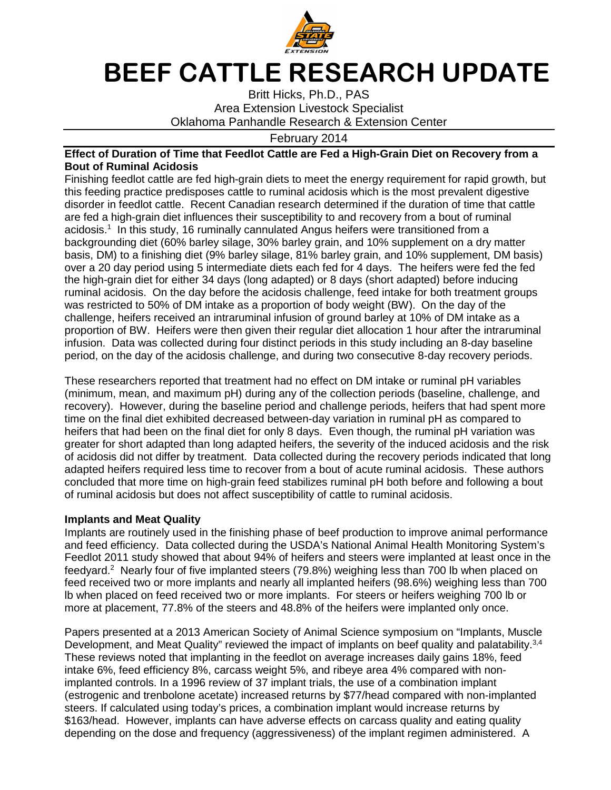

## **BEEF CATTLE RESEARCH UPDATE**

Britt Hicks, Ph.D., PAS Area Extension Livestock Specialist Oklahoma Panhandle Research & Extension Center

February 2014

## **Effect of Duration of Time that Feedlot Cattle are Fed a High-Grain Diet on Recovery from a Bout of Ruminal Acidosis**

Finishing feedlot cattle are fed high-grain diets to meet the energy requirement for rapid growth, but this feeding practice predisposes cattle to ruminal acidosis which is the most prevalent digestive disorder in feedlot cattle. Recent Canadian research determined if the duration of time that cattle are fed a high-grain diet influences their susceptibility to and recovery from a bout of ruminal acidosis.<sup>1</sup> In this study, 16 ruminally cannulated Angus heifers were transitioned from a backgrounding diet (60% barley silage, 30% barley grain, and 10% supplement on a dry matter basis, DM) to a finishing diet (9% barley silage, 81% barley grain, and 10% supplement, DM basis) over a 20 day period using 5 intermediate diets each fed for 4 days. The heifers were fed the fed the high-grain diet for either 34 days (long adapted) or 8 days (short adapted) before inducing ruminal acidosis. On the day before the acidosis challenge, feed intake for both treatment groups was restricted to 50% of DM intake as a proportion of body weight (BW). On the day of the challenge, heifers received an intraruminal infusion of ground barley at 10% of DM intake as a proportion of BW. Heifers were then given their regular diet allocation 1 hour after the intraruminal infusion. Data was collected during four distinct periods in this study including an 8-day baseline period, on the day of the acidosis challenge, and during two consecutive 8-day recovery periods.

These researchers reported that treatment had no effect on DM intake or ruminal pH variables (minimum, mean, and maximum pH) during any of the collection periods (baseline, challenge, and recovery). However, during the baseline period and challenge periods, heifers that had spent more time on the final diet exhibited decreased between-day variation in ruminal pH as compared to heifers that had been on the final diet for only 8 days. Even though, the ruminal pH variation was greater for short adapted than long adapted heifers, the severity of the induced acidosis and the risk of acidosis did not differ by treatment. Data collected during the recovery periods indicated that long adapted heifers required less time to recover from a bout of acute ruminal acidosis. These authors concluded that more time on high-grain feed stabilizes ruminal pH both before and following a bout of ruminal acidosis but does not affect susceptibility of cattle to ruminal acidosis.

## **Implants and Meat Quality**

Implants are routinely used in the finishing phase of beef production to improve animal performance and feed efficiency. Data collected during the USDA's National Animal Health Monitoring System's Feedlot 2011 study showed that about 94% of heifers and steers were implanted at least once in the feedyard.<sup>2</sup> Nearly four of five implanted steers (79.8%) weighing less than 700 lb when placed on feed received two or more implants and nearly all implanted heifers (98.6%) weighing less than 700 lb when placed on feed received two or more implants. For steers or heifers weighing 700 lb or more at placement, 77.8% of the steers and 48.8% of the heifers were implanted only once.

Papers presented at a 2013 American Society of Animal Science symposium on "Implants, Muscle Development, and Meat Quality" reviewed the impact of implants on beef quality and palatability.<sup>3,4</sup> These reviews noted that implanting in the feedlot on average increases daily gains 18%, feed intake 6%, feed efficiency 8%, carcass weight 5%, and ribeye area 4% compared with nonimplanted controls. In a 1996 review of 37 implant trials, the use of a combination implant (estrogenic and trenbolone acetate) increased returns by \$77/head compared with non-implanted steers. If calculated using today's prices, a combination implant would increase returns by \$163/head. However, implants can have adverse effects on carcass quality and eating quality depending on the dose and frequency (aggressiveness) of the implant regimen administered. A